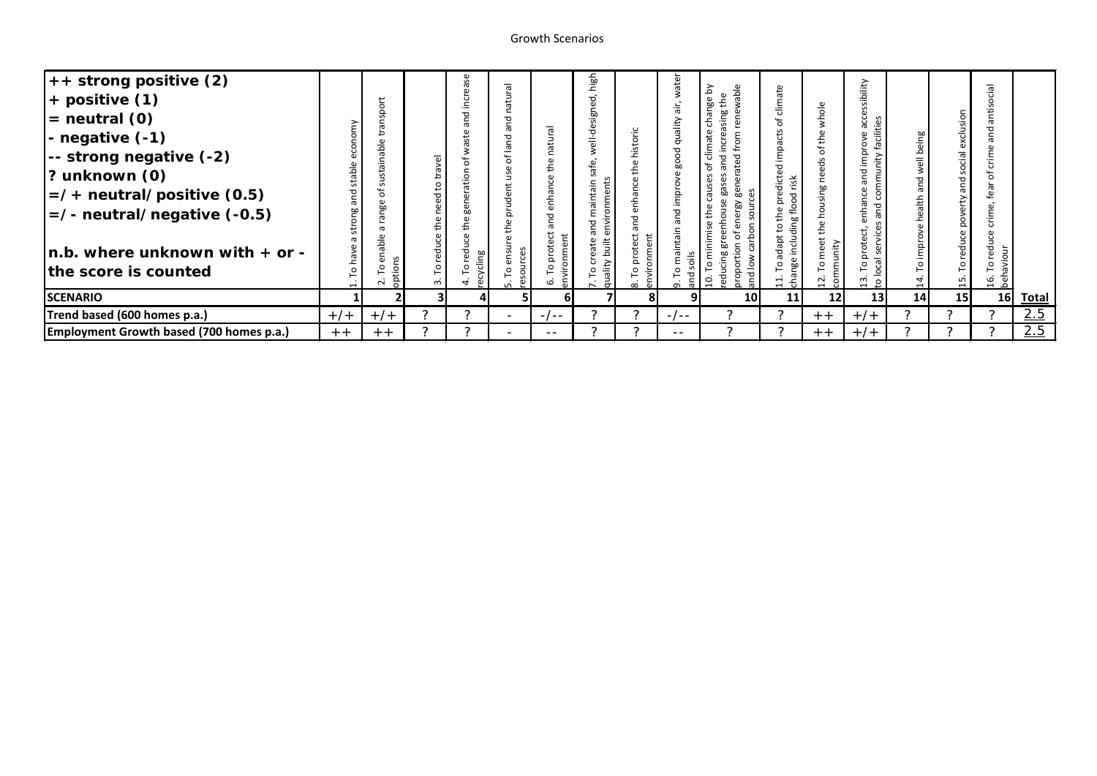## Growth Scenarios

| $++$ strong positive (2)                    |       |                    |        | 9     | $\overline{\sigma}$      |         | high          |            | ate            |                             |                               |                   |                 |           |                 | $\overline{a}$ |              |
|---------------------------------------------|-------|--------------------|--------|-------|--------------------------|---------|---------------|------------|----------------|-----------------------------|-------------------------------|-------------------|-----------------|-----------|-----------------|----------------|--------------|
| $+$ positive $(1)$                          |       | 등.                 |        |       | ίO                       |         | ᄝ             |            | āir.           | wable<br>the<br>nge         | ate<br><u>clim</u>            |                   | sibility        |           |                 | ÷              |              |
| $=$ neutral $(0)$                           |       | Ω<br>S<br>ത        |        |       | ರ                        |         | sign          |            | ality          | sing<br>۵υ<br>ē             | Ⴆ                             | whole             |                 |           | 5               | Ë              |              |
| $-$ negative $(-1)$                         |       |                    |        |       | ത                        |         | ರ             |            |                | mo<br>៦                     | impacts                       |                   |                 | being     | exclu           |                |              |
| -- strong negative (-2)                     |       | nable              | ى      |       | $\overline{a}$<br>፟፟፟፟፟፟ |         |               |            |                | ರ<br>ರ<br>ω                 |                               | ڂ<br>セ            |                 |           | social          | Ξ              |              |
| $\left  \text{? unknown (0)} \right\rangle$ |       | ॱत                 |        |       |                          |         |               |            | 60             | ത<br>ω                      | dicted<br>risk                |                   |                 |           |                 |                |              |
| $\vert$ =/+ neutral/positive (0.5)          |       | 'n.                |        |       | 운                        |         | ntain<br>Ë    |            |                | ω<br>$\mathbf \omega$<br>ōη | ರ<br>$\overline{\circ}$       |                   |                 |           | and             | õ              |              |
| $=$ /- neutral/negative (-0.5)              |       | ō٥                 |        |       | Ω                        |         | ॱत्व          |            | $\overline{c}$ | a<br>Ste                    | ∉                             |                   |                 | nealth    |                 |                |              |
|                                             |       |                    |        |       |                          |         | ਹ             | ರ          |                |                             |                               |                   |                 |           |                 | Ō              |              |
| $\ln b$ . where unknown with $+$ or -       |       | nable<br>G)        |        | ၉၀    | S                        | nment   | built<br>æ    | nment<br>ë |                | റ                           | dapt<br>릉                     | ã                 |                 | improve   | red             | redu<br>iour   |              |
| the score is counted                        |       | $\frac{1}{2}$<br>o | P      | cycli |                          |         | <b>Ailenb</b> |            |                | <u>ੁ</u><br>C<br>짇          | $\circ$                       |                   |                 |           |                 |                |              |
|                                             |       | å<br>$\sim$        | $\sim$ | உ     |                          | εī<br>G |               |            |                |                             | 흙<br>$\overline{\phantom{0}}$ | ξ<br>$\mathbf{r}$ | ង ទ             | $\vec{a}$ | ٣J              | e a            |              |
| <b>SCENARIO</b>                             |       |                    |        |       |                          | 61      |               |            |                | 10 <sup>1</sup>             | 11                            | 12 <sub>l</sub>   | 13 <sup>1</sup> | 14        | 15 <sup>1</sup> | 16             | <b>Total</b> |
| Trend based (600 homes p.a.)                | $+/-$ | $+/-$              | っ      |       | $\overline{\phantom{a}}$ | $-/--$  | っ             |            | $-/--$         |                             | っ                             | $+ +$             | $+/-$           |           | っ               |                | 2.5          |
| Employment Growth based (700 homes p.a.)    | $+ +$ | $+ +$              |        |       |                          | --      |               |            | $- -$          |                             | っ                             | $+ +$             | $+/-$           |           |                 |                | 2.5          |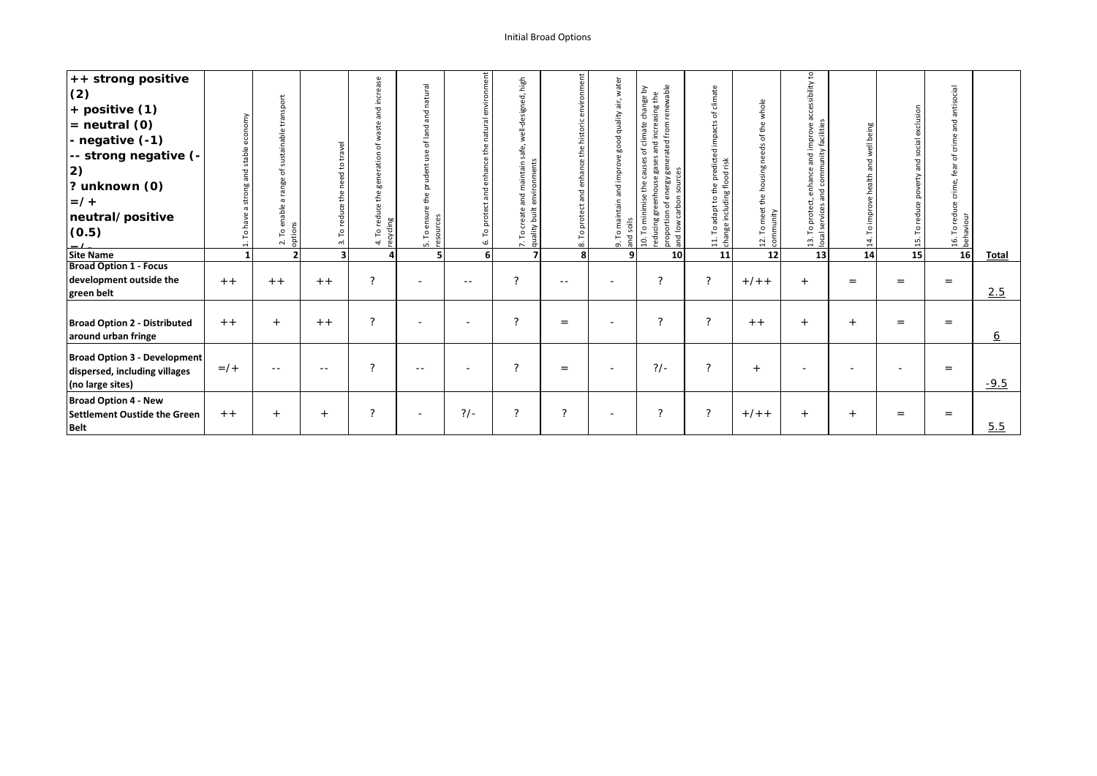## Initial Broad Options

| ++ strong positive<br>(2)<br>+ positive (1)<br>$=$ neutral $(0)$<br>- negative (-1)<br>-- strong negative (-<br> 2)<br>? unknown (0)<br>$=$ /+<br>neutral/positive<br>(0.5) | stable | transport<br>sustainable<br>Ⴆ<br>nge<br>ल्<br>$\sigma$<br>enable a<br>2. To en<br>options | travel<br>$\overline{S}$<br>need<br>the<br>reduce<br>P<br>$\vec{r}$ | and increase<br>waste<br>৳<br>the generation<br>reduce<br>ecycling<br>ρq<br>$\vec{+}$ | latural<br>$\epsilon$<br>ъ<br>ā<br>ъ<br>흐<br>$\mathcal{L}$<br>$\omega$<br>∍<br>gbu<br>$\frac{1}{2}$<br>$\mathbf{a}$<br>£<br>ensu<br>ces<br>$rac{1}{\sqrt{1-\frac{1}{2}}}$ | environment<br>natural<br>the<br>enhance<br>and<br>protect<br>ρ<br>Ġ. | high<br>ಕ<br>$\omega$<br>well-design<br>safe,<br>environments<br>aintain<br>ε<br>and<br>built<br>ate<br>7. To cre<br>quality l | nment<br>historic<br>the<br>enhance<br>and<br>protect | water<br>$\frac{1}{10}$<br>ality<br>$\mathbf{\overline{D}}$<br>soils<br>and<br>$\vec{a}$ | renewable<br>change by<br>and increasing the<br>generated from<br>ate<br>clim<br>৳<br>gases<br>ဣ<br>caus<br>sources<br>eenhouse<br>energy<br>$\mathbf \omega$<br>£<br>mise<br>carbon<br>5<br>눕<br>proportion<br>educing<br>and low<br>P<br>$\overline{a}$ | climate<br>৳<br>impacts<br>edicted<br>risk<br>flood<br>눕<br>$\mathbf{a}$<br>£<br>including<br>$\overline{c}$<br>apt<br>ರ<br>ית. To<br>Change | whole<br>the<br>đ<br>needs<br>the housing<br>meet<br>community<br>P<br>12. | cessibility to<br>ത<br>mprove a<br>facilities<br>impri<br>unity<br>$\mathbf{\overline{D}}$<br>comm<br>anha<br>짇<br>ਨ<br>$\circ$<br>ocal<br>ന് | ell being<br>and<br>ealth<br>$\frac{4}{1}$ | and social exclusion<br>poverty<br>reduce<br>$\mathsf{P}$<br>15. | antisocial<br>and<br>$\omega$<br>crim<br>đ<br>fear<br>crime,<br>16. To reduce of<br>behaviour |          |
|-----------------------------------------------------------------------------------------------------------------------------------------------------------------------------|--------|-------------------------------------------------------------------------------------------|---------------------------------------------------------------------|---------------------------------------------------------------------------------------|---------------------------------------------------------------------------------------------------------------------------------------------------------------------------|-----------------------------------------------------------------------|--------------------------------------------------------------------------------------------------------------------------------|-------------------------------------------------------|------------------------------------------------------------------------------------------|-----------------------------------------------------------------------------------------------------------------------------------------------------------------------------------------------------------------------------------------------------------|----------------------------------------------------------------------------------------------------------------------------------------------|----------------------------------------------------------------------------|-----------------------------------------------------------------------------------------------------------------------------------------------|--------------------------------------------|------------------------------------------------------------------|-----------------------------------------------------------------------------------------------|----------|
| <b>Site Name</b>                                                                                                                                                            |        | 2 <sub>1</sub>                                                                            |                                                                     |                                                                                       |                                                                                                                                                                           | 6 <sup>1</sup>                                                        |                                                                                                                                | 8                                                     | 9                                                                                        | 10                                                                                                                                                                                                                                                        | 11                                                                                                                                           | 12                                                                         | 13                                                                                                                                            | 14                                         | 15                                                               | 16                                                                                            | Total    |
| <b>Broad Option 1 - Focus</b><br>development outside the<br>green belt                                                                                                      | $+ +$  | $+ +$                                                                                     | $+ +$                                                               | $\mathcal{P}$                                                                         |                                                                                                                                                                           | $- -$                                                                 | $\mathcal{P}$                                                                                                                  | $- -$                                                 |                                                                                          | ?                                                                                                                                                                                                                                                         | ?                                                                                                                                            | $+/- +$                                                                    | $+$                                                                                                                                           | $=$                                        | $=$                                                              | $=$                                                                                           | 2.5      |
| <b>Broad Option 2 - Distributed</b><br>around urban fringe                                                                                                                  | $+ +$  | $+$                                                                                       | $+ +$                                                               | ?                                                                                     |                                                                                                                                                                           |                                                                       | $\mathcal{P}$                                                                                                                  | $=$                                                   |                                                                                          | ?                                                                                                                                                                                                                                                         | ?                                                                                                                                            | $+ +$                                                                      | $+$                                                                                                                                           | $+$                                        | $=$                                                              | $=$                                                                                           | <u>6</u> |
| <b>Broad Option 3 - Development</b><br>dispersed, including villages<br>(no large sites)                                                                                    | $=$ /+ | $- -$                                                                                     | $- -$                                                               | $\mathcal{P}$                                                                         | $- -$                                                                                                                                                                     | $\overline{\phantom{0}}$                                              | $\mathcal{P}$                                                                                                                  | $=$                                                   |                                                                                          | $?/-$                                                                                                                                                                                                                                                     | ?                                                                                                                                            | $+$                                                                        |                                                                                                                                               |                                            |                                                                  | $=$                                                                                           | $-9.5$   |
| <b>Broad Option 4 - New</b><br><b>Settlement Oustide the Green</b><br><b>Belt</b>                                                                                           | $+ +$  | $+$                                                                                       | $+$                                                                 | $\mathcal{P}$                                                                         |                                                                                                                                                                           | $?/-$                                                                 | $\mathcal{P}$                                                                                                                  | $\mathcal{P}$                                         |                                                                                          | ?                                                                                                                                                                                                                                                         | ?                                                                                                                                            | $+/- +$                                                                    | $+$                                                                                                                                           | $+$                                        | $=$                                                              | $=$                                                                                           | 5.5      |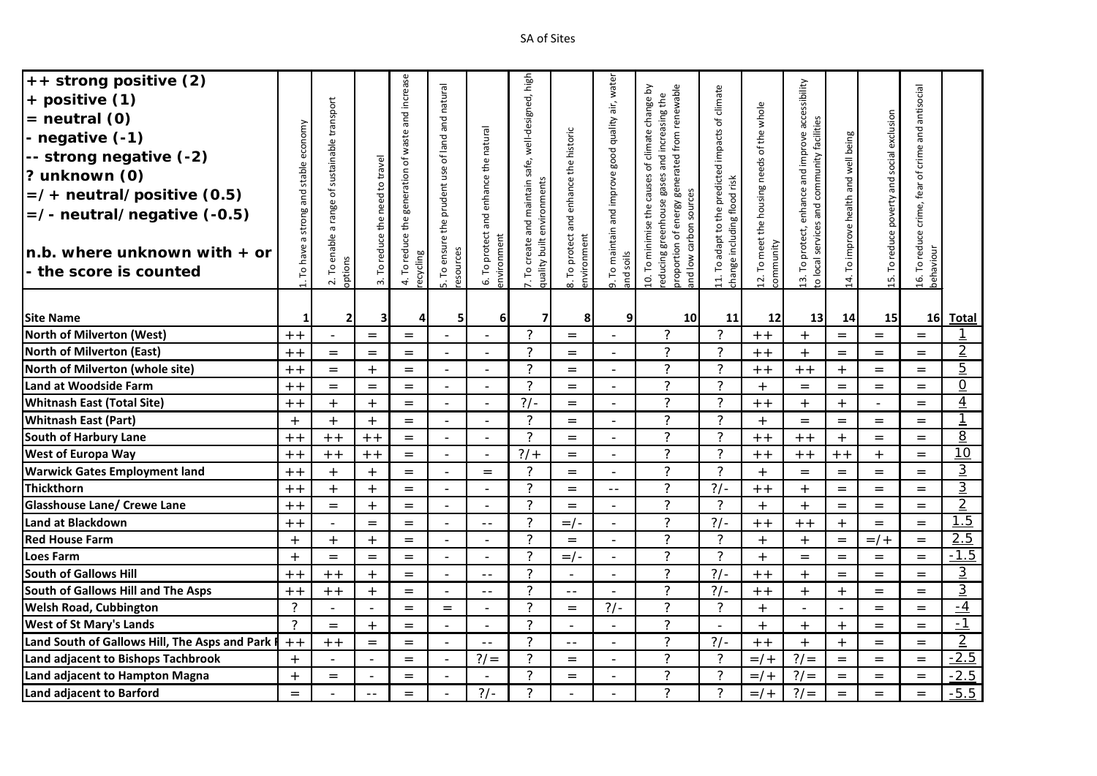| ++ strong positive (2)                          |                |                                  |                                 | and increase        |                          |                          | well-designed, high                                            |                                     | air, water                           |                                                                                                                                                  |                                                  |                                                         |                                                   |                                      |                                            |                                                   |                          |
|-------------------------------------------------|----------------|----------------------------------|---------------------------------|---------------------|--------------------------|--------------------------|----------------------------------------------------------------|-------------------------------------|--------------------------------------|--------------------------------------------------------------------------------------------------------------------------------------------------|--------------------------------------------------|---------------------------------------------------------|---------------------------------------------------|--------------------------------------|--------------------------------------------|---------------------------------------------------|--------------------------|
| + positive (1)                                  |                |                                  |                                 |                     | and natural              |                          |                                                                |                                     |                                      | proportion of energy generated from renewable<br>10. To minimise the causes of climate change by<br>reducing greenhouse gases and increasing the | 11. To adapt to the predicted impacts of climate |                                                         | 13. To protect, enhance and improve accessibility |                                      |                                            | 16. To reduce crime, fear of crime and antisocial |                          |
| $=$ neutral $(0)$                               |                | a range of sustainable transport |                                 |                     |                          |                          |                                                                |                                     |                                      |                                                                                                                                                  |                                                  |                                                         |                                                   |                                      |                                            |                                                   |                          |
| - negative (-1)                                 | economy        |                                  |                                 | generation of waste |                          | and enhance the natural  |                                                                |                                     |                                      |                                                                                                                                                  |                                                  |                                                         |                                                   |                                      |                                            |                                                   |                          |
| -- strong negative (-2)                         |                |                                  |                                 |                     | of land a                |                          |                                                                |                                     |                                      |                                                                                                                                                  |                                                  |                                                         |                                                   |                                      |                                            |                                                   |                          |
| ? unknown (0)                                   | stable         |                                  |                                 |                     | the prudent use          |                          | safe,                                                          |                                     |                                      |                                                                                                                                                  |                                                  |                                                         |                                                   |                                      |                                            |                                                   |                          |
| $=$ /+ neutral/positive (0.5)                   | and            |                                  |                                 |                     |                          |                          |                                                                |                                     |                                      |                                                                                                                                                  |                                                  |                                                         |                                                   |                                      |                                            |                                                   |                          |
| $=$ /- neutral/negative (-0.5)                  |                |                                  |                                 |                     |                          |                          |                                                                |                                     |                                      | sources                                                                                                                                          |                                                  |                                                         |                                                   |                                      |                                            |                                                   |                          |
|                                                 | strong         |                                  | 3. To reduce the need to travel | 4. To reduce the    |                          |                          | and maintain                                                   | To protect and enhance the historic | To maintain and improve good quality |                                                                                                                                                  |                                                  |                                                         |                                                   |                                      |                                            |                                                   |                          |
|                                                 | G              | 2. To enable                     |                                 |                     |                          | 6. To protect            | create                                                         |                                     |                                      | carbon                                                                                                                                           |                                                  |                                                         |                                                   |                                      |                                            |                                                   |                          |
| $n.b.$ where unknown with $+$ or                | To have        |                                  |                                 | ecycling            |                          |                          |                                                                |                                     |                                      | $\frac{8}{10}$                                                                                                                                   |                                                  |                                                         |                                                   |                                      |                                            |                                                   |                          |
| - the score is counted                          |                | options                          |                                 |                     | 5. To ensure<br>esources | environment              | quality built environments<br>$\mathsf{L}^{\mathsf{o}}$<br>Ϋ́. | environment<br>$\frac{1}{\infty}$   | and soils<br>o,                      | and                                                                                                                                              | change including flood risk                      | 12. To meet the housing needs of the whole<br>community | to local services and community facilities        | 14. To improve health and well being | 15. To reduce poverty and social exclusion | behaviour                                         |                          |
|                                                 |                |                                  |                                 |                     |                          |                          |                                                                |                                     |                                      |                                                                                                                                                  |                                                  |                                                         |                                                   |                                      |                                            |                                                   |                          |
| <b>Site Name</b>                                | 1              | 2 <sup>1</sup>                   | 3                               | 4                   | 5                        | $6 \mid$                 | $\overline{7}$                                                 | 8                                   | 9                                    | 10 <sup>1</sup>                                                                                                                                  | 11                                               | 12                                                      | 13                                                | 14                                   | 15                                         | 16 <sup>1</sup>                                   | <b>Total</b>             |
| <b>North of Milverton (West)</b>                | $+ +$          | $\overline{\phantom{a}}$         | $=$                             | $=$                 | $\blacksquare$           | $\sim$                   | ?                                                              | $=$                                 | $\blacksquare$                       | $\tilde{?}$                                                                                                                                      | $\overline{?}$                                   | $+ +$                                                   | $+$                                               | $=$                                  | $=$                                        | $=$                                               | $\mathbf{\underline{1}}$ |
| <b>North of Milverton (East)</b>                | $+ +$          | $=$                              | $=$                             | $=$                 | $\equiv$                 | $\blacksquare$           | 2                                                              | $=$                                 | $\overline{a}$                       | $\overline{?}$                                                                                                                                   | $\overline{?}$                                   | $+ +$                                                   | $+$                                               | $=$                                  | $=$                                        | $=$                                               | $\overline{2}$           |
| North of Milverton (whole site)                 | $+ +$          | $=$                              | $+$                             | $=$                 | $\overline{\phantom{0}}$ | $\overline{a}$           | $\mathcal{P}$                                                  | $=$                                 | $\overline{a}$                       | $\overline{\phantom{a}}$                                                                                                                         | $\overline{?}$                                   | $+ +$                                                   | $+ +$                                             | $+$                                  | $=$                                        | $=$                                               | $\overline{5}$           |
| <b>Land at Woodside Farm</b>                    | $+ +$          | $=$                              | $=$                             | $=$                 | $\blacksquare$           | $\equiv$                 | $\mathcal{P}$                                                  | $=$                                 | $\overline{a}$                       | $\overline{?}$                                                                                                                                   | $\overline{?}$                                   | $+$                                                     | $=$                                               | $=$                                  | $=$                                        | $=$                                               | $\overline{0}$           |
| <b>Whitnash East (Total Site)</b>               | $+ +$          | $+$                              | $+$                             | $=$                 | $\blacksquare$           | $\equiv$                 | $?/-$                                                          | $=$                                 | $\blacksquare$                       | $\overline{?}$                                                                                                                                   | $\overline{?}$                                   | $\, +$ $+$                                              | $+$                                               | $+$                                  | $\overline{\phantom{a}}$                   | $=$                                               | $\overline{4}$           |
| <b>Whitnash East (Part)</b>                     | $+$            | $+$                              | $+$                             | $=$                 | $\blacksquare$           | $\bar{\phantom{a}}$      | ?                                                              | $=$                                 | $\overline{a}$                       | $\overline{?}$                                                                                                                                   | $\overline{?}$                                   | $+$                                                     | $=$                                               | $=$                                  | $=$                                        | $=$                                               | $\mathbf{1}$             |
| <b>South of Harbury Lane</b>                    | $+ +$          | $+ +$                            | $+ +$                           | $=$                 | $\blacksquare$           | $\bar{\phantom{a}}$      | 2                                                              | $=$                                 | $\sim$                               | $\overline{?}$                                                                                                                                   | $\overline{?}$                                   | $+ +$                                                   | $+ +$                                             | $+$                                  | $=$                                        | $=$                                               | $\overline{8}$           |
| West of Europa Way                              | $+ +$          | $+ +$                            | $+ +$                           | $=$                 | $\equiv$                 | $\bar{\phantom{a}}$      | $?$ /+                                                         | $=$                                 | $\sim$                               | $\overline{?}$                                                                                                                                   | $\overline{?}$                                   | $\, +$ $+$                                              | $+ +$                                             | $+ +$                                | $+$                                        | $=$                                               | $\overline{10}$          |
| <b>Warwick Gates Employment land</b>            | $+ +$          | $+$                              | $+$                             | $=$                 | $\overline{a}$           | $=$                      | 2                                                              | $=$                                 | $\overline{a}$                       | $\overline{?}$                                                                                                                                   | $\overline{\phantom{0}}$                         | $+$                                                     | $=$                                               | $=$                                  | $=$                                        | $=$                                               | $\overline{3}$           |
| Thickthorn                                      | $+ +$          | $+$                              | $+$                             | $=$                 | $\overline{a}$           | $\bar{\phantom{a}}$      | $\mathcal{P}$                                                  | $=$                                 | $- -$                                | $\overline{?}$                                                                                                                                   | $\frac{2}{1}$                                    | $+ +$                                                   | $+$                                               | $=$                                  | $=$                                        | $=$                                               | $\overline{\mathbf{3}}$  |
| <b>Glasshouse Lane/ Crewe Lane</b>              | $+ +$          | $=$                              | $+$                             | $=$                 | $\overline{a}$           | $\equiv$                 | $\mathcal{P}$                                                  | $=$                                 |                                      | $\overline{?}$                                                                                                                                   | $\overline{?}$                                   | $+$                                                     | $+$                                               | $=$                                  | $=$                                        | $=$                                               | $\overline{2}$           |
| Land at Blackdown                               | $+ +$          |                                  | $=$                             | $=$                 |                          | $\equiv$ $\equiv$        | $\mathcal{P}$                                                  | $=$ / -                             |                                      | $\overline{?}$                                                                                                                                   | $?/-$                                            | $+ +$                                                   | $+ +$                                             | $+$                                  | $=$                                        | $=$                                               | 1.5                      |
| <b>Red House Farm</b>                           | $+$            | $+$                              | $+$                             | $=$                 | $\overline{\phantom{0}}$ | $\overline{\phantom{a}}$ | $\mathcal{P}$                                                  | $=$                                 |                                      | $\overline{?}$                                                                                                                                   | $\overline{?}$                                   | $+$                                                     | $+$                                               | $=$                                  | $=$ /+                                     | $=$                                               | 2.5                      |
| <b>Loes Farm</b>                                | $+$            | $=$                              | $=$                             | $=$                 | $\overline{a}$           | $\sim$                   | $\mathcal{P}$                                                  | $=$ / -                             |                                      | $\overline{?}$                                                                                                                                   | $\overline{?}$                                   | $+$                                                     | $=$                                               | $=$                                  | $=$                                        | $=$                                               | $-1.5$                   |
| <b>South of Gallows Hill</b>                    | $+ +$          | $+ +$                            | $+$                             | $=$                 | $\overline{a}$           | $\sim$ $-$               | 2                                                              | $\sim$                              |                                      | $\overline{?}$                                                                                                                                   | $?/-$                                            | $+ +$                                                   | $+$                                               | $=$                                  | $=$                                        | $=$                                               | $\overline{3}$           |
| South of Gallows Hill and The Asps              | $+ +$          | $+ +$                            | $+$                             | $=$                 | $\overline{\phantom{0}}$ | $ -$                     | $\overline{\phantom{0}}$                                       | $\overline{\phantom{a}}$ .          |                                      | $\overline{?}$                                                                                                                                   | $?/-$                                            | $+ +$                                                   | $+$                                               | $+$                                  | $=$                                        | $=$                                               | ند                       |
| <b>Welsh Road, Cubbington</b>                   | $\overline{?}$ | $\overline{a}$                   |                                 | $=$                 | $=$                      | $\overline{a}$           | $\mathcal{P}$                                                  | $=$                                 | $?/-$                                | $\overline{\phantom{a}}$                                                                                                                         | $\overline{?}$                                   | $+$                                                     |                                                   |                                      | $=$                                        | $=$                                               | $-4$                     |
| <b>West of St Mary's Lands</b>                  | $\mathcal{P}$  | $=$                              | $+$                             | $=$                 | $\overline{a}$           | $\overline{a}$           | $\mathcal{P}$                                                  | $\sim$                              |                                      | $\overline{?}$                                                                                                                                   | $\overline{a}$                                   | $+$                                                     | $+$                                               | $+$                                  | $=$                                        | $=$                                               | $\overline{-1}$          |
| Land South of Gallows Hill, The Asps and Park I | $+ +$          | $+ +$                            | $=$                             | $=$                 | $\equiv$                 | $\equiv$ $\equiv$        | $\mathcal{P}$                                                  | $\sim$ $\sim$                       | $\sim$                               | $\overline{?}$                                                                                                                                   | $?/-$                                            | $+ +$                                                   | $+$                                               | $+$                                  | $=$                                        | $=$                                               | $\overline{2}$           |
| Land adjacent to Bishops Tachbrook              | $+$            | $\overline{a}$                   | $\overline{a}$                  | $=$                 | $\overline{a}$           | $?′=$                    | 2                                                              | $=$                                 |                                      | $\overline{?}$                                                                                                                                   | $\overline{?}$                                   | $=$ /+                                                  | $? / =$                                           | $=$                                  | $=$                                        | $=$                                               | $-2.5$                   |
| Land adjacent to Hampton Magna                  | $+$            | $=$                              |                                 | $=$                 |                          | $\overline{\phantom{a}}$ | $\overline{?}$                                                 | $=$                                 |                                      | $\overline{?}$                                                                                                                                   | $\overline{?}$                                   | $=$ /+                                                  | $?′=$                                             | $=$                                  | $=$                                        | $=$                                               | $-2.5$                   |
| Land adjacent to Barford                        | $=$            | $\overline{a}$                   |                                 | $=$                 |                          | $?/-$                    | $\mathcal{P}$                                                  |                                     |                                      | $\overline{?}$                                                                                                                                   | $\overline{?}$                                   | $=$ /+                                                  | $?′=$                                             | $=$                                  | $=$                                        | $=$                                               | $-5.5$                   |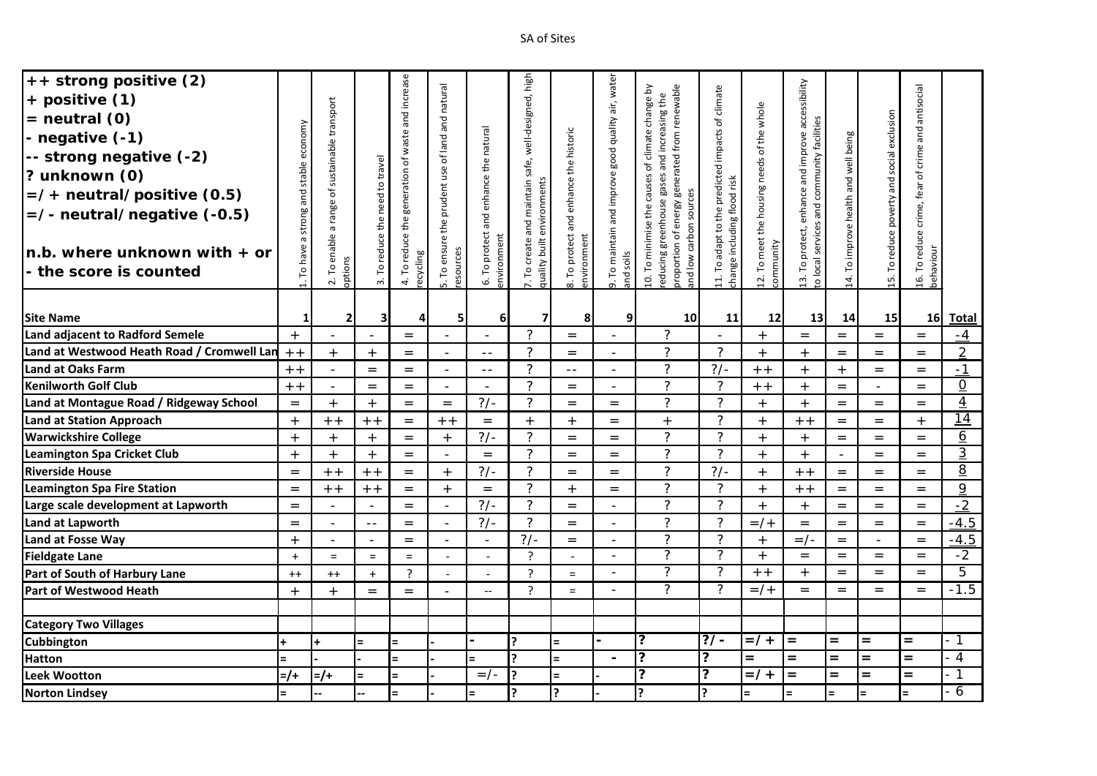| ++ strong positive (2)<br>+ positive (1)<br>$=$ neutral $(0)$<br>- negative (-1)<br>-- strong negative (-2)<br>? unknown (0)<br>$=$ /+ neutral/positive (0.5)<br>$=$ /- neutral/negative (-0.5)<br>$n.b.$ where unknown with $+$ or | economy<br>stable<br>and<br>strong<br>ā<br>have? | 2. To enable a range of sustainable transport | 3. To reduce the need to travel | and increase<br>generation of waste<br>4. To reduce the | of land and natural<br>5. To ensure the prudent use | and enhance the natural<br>6. To protect<br>environment | well-designed, high<br>safe,<br>quality built environments<br>7. To create and maintain | To protect and enhance the historic<br>environment | To maintain and improve good quality air, water | proportion of energy generated from renewable<br>10. To minimise the causes of climate change by<br>educing greenhouse gases and increasing the<br>sources<br>carbon | 11. To adapt to the predicted impacts of climate<br>change including flood risk | 12. To meet the housing needs of the whole | 13. To protect, enhance and improve accessibility<br>to local services and community facilities | 14. To improve health and well being | 15. To reduce poverty and social exclusion | 16. To reduce crime, fear of crime and antisocial |                 |
|-------------------------------------------------------------------------------------------------------------------------------------------------------------------------------------------------------------------------------------|--------------------------------------------------|-----------------------------------------------|---------------------------------|---------------------------------------------------------|-----------------------------------------------------|---------------------------------------------------------|-----------------------------------------------------------------------------------------|----------------------------------------------------|-------------------------------------------------|----------------------------------------------------------------------------------------------------------------------------------------------------------------------|---------------------------------------------------------------------------------|--------------------------------------------|-------------------------------------------------------------------------------------------------|--------------------------------------|--------------------------------------------|---------------------------------------------------|-----------------|
| - the score is counted                                                                                                                                                                                                              | ГO                                               | options                                       |                                 | recycling                                               | esources                                            |                                                         |                                                                                         |                                                    | and soils                                       | $\frac{8}{10}$<br>and                                                                                                                                                |                                                                                 | community                                  |                                                                                                 |                                      |                                            | behaviour                                         |                 |
| <b>Site Name</b>                                                                                                                                                                                                                    | 1                                                | 2 <sup>1</sup>                                | 3                               | $\overline{4}$                                          | 5                                                   | 6 <sup>1</sup>                                          | $\overline{7}$                                                                          | $\frac{1}{\infty}$<br>8                            | o.<br>$\overline{9}$                            | 10 <sup>1</sup>                                                                                                                                                      | 11                                                                              | 12                                         | 13                                                                                              | 14                                   | 15                                         | 16 <sup>1</sup>                                   | <b>Total</b>    |
| <b>Land adjacent to Radford Semele</b>                                                                                                                                                                                              | $+$                                              | $\overline{\phantom{a}}$                      | $\overline{\phantom{a}}$        | $=$                                                     | $\blacksquare$                                      | $\sim$                                                  | $\mathcal{P}$                                                                           | $=$                                                | $\blacksquare$                                  | $\overline{?}$                                                                                                                                                       | $\blacksquare$                                                                  | $+$                                        | $=$                                                                                             | $=$                                  | $=$                                        | $=$                                               | $-4$            |
| Land at Westwood Heath Road / Cromwell Lan                                                                                                                                                                                          | $+ +$                                            | $+$                                           | $+$                             | $=$                                                     | $\blacksquare$                                      | $\sim$ $-$                                              | 2                                                                                       | $=$                                                | $\overline{a}$                                  | $\overline{?}$                                                                                                                                                       | $\overline{?}$                                                                  | $+$                                        | $+$                                                                                             | $=$                                  | $=$                                        | $=$                                               | 2               |
| <b>Land at Oaks Farm</b>                                                                                                                                                                                                            | $+ +$                                            | $\blacksquare$                                | $=$                             | $=$                                                     | $\blacksquare$                                      | $\sim$ $-$                                              | 2                                                                                       | $ -$                                               | $\overline{a}$                                  | ?                                                                                                                                                                    | $?/-$                                                                           | $+ +$                                      | $+$                                                                                             | $+$                                  | $=$                                        | $=$                                               | $-1$            |
| <b>Kenilworth Golf Club</b>                                                                                                                                                                                                         | $+ +$                                            | $\equiv$                                      | $=$                             | $=$                                                     | $\blacksquare$                                      | $\equiv$                                                | 2                                                                                       | $=$                                                | $\overline{a}$                                  | $\overline{?}$                                                                                                                                                       | $\overline{?}$                                                                  | $+ +$                                      | $+$                                                                                             | $=$                                  | $\overline{\phantom{a}}$                   | $=$                                               | $\overline{0}$  |
| Land at Montague Road / Ridgeway School                                                                                                                                                                                             | $=$                                              | $+$                                           | $+$                             | $=$                                                     | $=$                                                 | $?/-$                                                   | $\overline{?}$                                                                          | $=$                                                | $=$                                             | $\overline{?}$                                                                                                                                                       | $\overline{?}$                                                                  | $+$                                        | $+$                                                                                             | $=$                                  | $=$                                        | $=$                                               | $\overline{4}$  |
| Land at Station Approach                                                                                                                                                                                                            | $+$                                              | $+ +$                                         | $+ +$                           | $=$                                                     | $+ +$                                               | $=$                                                     | $+$                                                                                     | $+$                                                | $=$                                             | $+$                                                                                                                                                                  | $\overline{?}$                                                                  | $+$                                        | $+ +$                                                                                           | $=$                                  | $=$                                        | $+$                                               | $\overline{14}$ |
| <b>Warwickshire College</b>                                                                                                                                                                                                         | $+$                                              | $+$                                           | $+$                             | $=$                                                     | $+$                                                 | $?/-$                                                   | 2                                                                                       | $=$                                                | $=$                                             | $\overline{?}$                                                                                                                                                       | $\overline{?}$                                                                  | $+$                                        | $+$                                                                                             | $=$                                  | $=$                                        | $=$                                               | $\underline{6}$ |
| <b>Leamington Spa Cricket Club</b>                                                                                                                                                                                                  | $+$                                              | $+$                                           | $+$                             | $=$                                                     | $\blacksquare$                                      | $=$                                                     | $\overline{?}$                                                                          | $=$                                                | $=$                                             | $\overline{?}$                                                                                                                                                       | $\overline{?}$                                                                  | $+$                                        | $+$                                                                                             | $\overline{a}$                       | $=$                                        | $=$                                               | $\overline{3}$  |
| <b>Riverside House</b>                                                                                                                                                                                                              | $=$                                              | $+ +$                                         | $+ +$                           | $=$                                                     | $+$                                                 | $?/-$                                                   | $\mathcal{P}$                                                                           | $=$                                                | $=$                                             | $\overline{?}$                                                                                                                                                       | $?/-$                                                                           | $+$                                        | $+ +$                                                                                           | $=$                                  | $=$                                        | $=$                                               | 8               |
| Leamington Spa Fire Station                                                                                                                                                                                                         | $=$                                              | $+ +$                                         | $+ +$                           | $=$                                                     | $+$                                                 | $=$                                                     | $\mathcal{P}$                                                                           | $+$                                                | $=$                                             | $\overline{?}$                                                                                                                                                       | $\overline{?}$                                                                  | $+$                                        | $+ +$                                                                                           | $=$                                  | $=$                                        | $=$                                               | 9               |
| Large scale development at Lapworth                                                                                                                                                                                                 | $=$                                              | $\overline{a}$                                | $\blacksquare$                  | $=$                                                     | $\overline{a}$                                      | $?/-$                                                   | $\mathcal{P}$                                                                           | $=$                                                |                                                 | $\overline{?}$                                                                                                                                                       | $\overline{?}$                                                                  | $+$                                        | $+$                                                                                             | $=$                                  | $=$                                        | $=$                                               | $-2$            |
| <b>Land at Lapworth</b>                                                                                                                                                                                                             | $=$                                              | $\overline{a}$                                | $-$                             | $=$                                                     |                                                     | $?/-$                                                   | 2                                                                                       | $=$                                                |                                                 | $\overline{?}$                                                                                                                                                       | $\overline{?}$                                                                  | $=$ /+                                     | $=$                                                                                             | $=$                                  | $=$                                        | $=$                                               | $-4.5$          |
| Land at Fosse Way                                                                                                                                                                                                                   | $+$                                              | $\sim$                                        | $\blacksquare$                  | $=$                                                     |                                                     | $\sim$                                                  | $?/-$                                                                                   | $=$                                                |                                                 | $\overline{?}$                                                                                                                                                       | $\overline{?}$                                                                  | $+$                                        | $=$ / -                                                                                         | $=$                                  |                                            | $=$                                               | $-4.5$          |
| <b>Fieldgate Lane</b>                                                                                                                                                                                                               | $+$                                              | $\equiv$                                      | $=$                             | $=$                                                     | $\overline{a}$                                      | $\overline{\phantom{a}}$                                | ?                                                                                       | $\overline{a}$                                     | $\overline{a}$                                  | $\overline{?}$                                                                                                                                                       | $\overline{?}$                                                                  | $+$                                        | $=$                                                                                             | $=$                                  | $=$                                        | $=$                                               | $-2$            |
| Part of South of Harbury Lane                                                                                                                                                                                                       | $++$                                             | $++$                                          | $+$                             | ?                                                       | $\overline{a}$                                      | $\overline{a}$                                          | $\overline{?}$                                                                          | $=$                                                | $\blacksquare$                                  | $\overline{?}$                                                                                                                                                       | $\overline{?}$                                                                  | $+ +$                                      | $+$                                                                                             | $=$                                  | $=$                                        | $=$                                               | 5               |
| Part of Westwood Heath                                                                                                                                                                                                              | $+$                                              | $+$                                           | $=$                             | $=$                                                     |                                                     | $-$                                                     | $\overline{?}$                                                                          | $\equiv$                                           | $\overline{\phantom{a}}$                        | $\overline{?}$                                                                                                                                                       | $\overline{?}$                                                                  | $=$ /+                                     | $=$                                                                                             | $=$                                  | $=$                                        | $=$                                               | $-1.5$          |
|                                                                                                                                                                                                                                     |                                                  |                                               |                                 |                                                         |                                                     |                                                         |                                                                                         |                                                    |                                                 |                                                                                                                                                                      |                                                                                 |                                            |                                                                                                 |                                      |                                            |                                                   |                 |
| <b>Category Two Villages</b>                                                                                                                                                                                                        |                                                  |                                               |                                 |                                                         |                                                     |                                                         |                                                                                         |                                                    |                                                 |                                                                                                                                                                      |                                                                                 |                                            |                                                                                                 |                                      |                                            |                                                   |                 |
| <b>Cubbington</b>                                                                                                                                                                                                                   | ÷                                                | ÷                                             | $=$                             | $=$                                                     |                                                     |                                                         | P                                                                                       | $=$                                                |                                                 | ?                                                                                                                                                                    | $\overline{?/-}$                                                                | $=$ /+                                     | $=$                                                                                             | $=$                                  | $=$                                        | $=$                                               | - 1             |
| <b>Hatton</b>                                                                                                                                                                                                                       | $=$                                              |                                               |                                 | $=$                                                     |                                                     | $=$                                                     | Þ                                                                                       | $=$                                                | $\blacksquare$                                  | ?                                                                                                                                                                    | ?                                                                               | $=$                                        | $=$                                                                                             | $=$                                  | $=$                                        | $=$                                               | $\overline{4}$  |
| <b>Leek Wootton</b>                                                                                                                                                                                                                 | $=$ /+                                           | $=$ /+                                        | $=$                             | $=$                                                     |                                                     | $=$ / -                                                 | P                                                                                       | $=$                                                |                                                 | ?                                                                                                                                                                    | $\overline{\mathbf{?}}$                                                         | $=$ /+                                     | $=$                                                                                             | $=$                                  | $=$                                        | $=$                                               | - 1             |
| <b>Norton Lindsey</b>                                                                                                                                                                                                               | $=$                                              |                                               |                                 | $=$                                                     |                                                     | $=$                                                     | <sub>2</sub>                                                                            | <sup>?</sup>                                       |                                                 | ς                                                                                                                                                                    | C                                                                               | $\equiv$                                   | $=$                                                                                             | $=$                                  | $=$                                        | $=$                                               | $\overline{6}$  |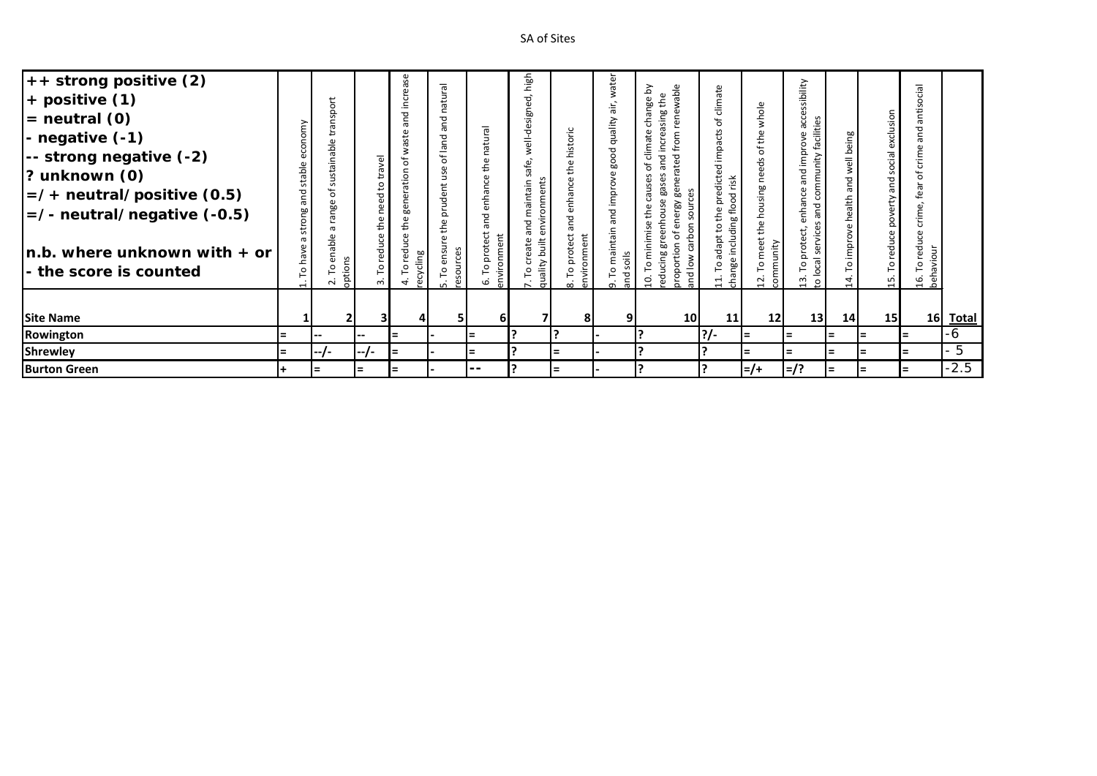| $++$ strong positive (2)<br>$+$ positive $(1)$<br>$=$ neutral $(0)$<br>- negative (-1)<br>-- strong negative (-2)<br>$ ?$ unknown $(0)$<br>$\vert$ =/+ neutral/positive (0.5)<br>$\vert$ =/- neutral/negative (-0.5)<br>$\ln b$ . where unknown with $+$ or<br>- the score is counted | omy<br>š<br>stable<br>ᢦ<br>ā<br>ong<br>ŧr<br>σ<br>ō<br>$\circ$ | ansport<br>≒<br>sustainable<br>*ნ<br>range<br>൹<br>enable<br>options<br>۰<br>$\sim$ | $\overline{y}$<br>ā<br>ខ<br>ರ<br>č<br>$\mathbf \omega$<br>흡<br>පි<br>redu<br>م<br>$\sim$ | increase<br>and<br>aste<br>ಕ<br>ation<br>neg<br>۴he<br>reduce<br>cycling<br>$\mathsf{L}^{\mathsf{O}}$<br>ē<br>4 | natural<br>and<br>land<br>$\mathfrak{b}$<br>use<br>prudent<br>the<br>$\omega$<br>ensu<br>ces<br>nos<br>P<br>ω<br>LO | atural<br>$\subset$<br>the<br>enhance<br>and<br>protect<br>vironment<br>o<br>$\overline{5}$<br>6 | high<br>೪<br>sign<br>ۊ<br>둛<br>e,<br>aintain<br>d.<br>eate<br>built<br>quality<br>$\circ$<br>$\overline{\phantom{0}}$ | historic<br>the<br>enhance<br>and<br>protect<br>nment<br>viro<br>$\circ$<br>문<br>$\infty$ | water<br>air,<br>quality<br>ood<br>improve<br>and<br>maintain<br>C<br>등<br>$\sigma$ | wable<br>Σ<br>eq.<br>change<br>sing<br>Si<br>ene<br>ncrea<br>climate<br>ರ<br>ರ<br>atē<br>등<br>Ó<br>හි<br>pel<br>gase<br>ō<br>ē,<br>ä<br>ergy<br>Φ<br>Š<br>ᇹ<br>nimise<br>Ξ<br>₽<br>$\overline{c}$<br>proportio<br>reduci<br>c<br>and<br>ុ | climate<br>Ⴆ<br>impacts<br>dicted<br>risk<br>Φ<br>including flood<br>声<br>e<br>#<br>dapt<br>change<br>0<br>⊣<br>$\overline{ }$ | whole<br>$\mathfrak{a}$<br>'ত<br>č<br>housing<br>e<br>44<br>eet<br>unity<br>O<br>g<br>S. | ssibility<br>acce<br>facilities<br>rove<br>ēu<br>community<br>and<br>enhance<br>and<br>ಕ<br>service<br>rote<br>≏<br>ocal<br>م<br>ఞ<br>$\mathsf{S}$ | being<br>well<br>and<br>health<br>improve<br>P<br>$\sharp$ | exclusion<br>social<br>and<br>횽<br>$\Xi$ | lēj<br>ū<br>ānti<br>and<br>crim<br>Ⴆ<br>fea<br>crime,<br>reduce<br>16. To redu<br>behaviour |          |
|---------------------------------------------------------------------------------------------------------------------------------------------------------------------------------------------------------------------------------------------------------------------------------------|----------------------------------------------------------------|-------------------------------------------------------------------------------------|------------------------------------------------------------------------------------------|-----------------------------------------------------------------------------------------------------------------|---------------------------------------------------------------------------------------------------------------------|--------------------------------------------------------------------------------------------------|-----------------------------------------------------------------------------------------------------------------------|-------------------------------------------------------------------------------------------|-------------------------------------------------------------------------------------|-------------------------------------------------------------------------------------------------------------------------------------------------------------------------------------------------------------------------------------------|--------------------------------------------------------------------------------------------------------------------------------|------------------------------------------------------------------------------------------|----------------------------------------------------------------------------------------------------------------------------------------------------|------------------------------------------------------------|------------------------------------------|---------------------------------------------------------------------------------------------|----------|
| <b>Site Name</b>                                                                                                                                                                                                                                                                      |                                                                |                                                                                     | 31                                                                                       |                                                                                                                 | 51                                                                                                                  | 61                                                                                               |                                                                                                                       | 81                                                                                        |                                                                                     | 10 <sup>1</sup>                                                                                                                                                                                                                           | 11                                                                                                                             | 12 <sub>l</sub>                                                                          | 13                                                                                                                                                 | 14                                                         | 15 <sup>1</sup>                          |                                                                                             | 16 Total |
| Rowington                                                                                                                                                                                                                                                                             | $=$                                                            | --                                                                                  | $\hspace{0.1mm}-\hspace{0.1mm}-\hspace{0.1mm}$                                           | lΞ                                                                                                              |                                                                                                                     | $=$                                                                                              |                                                                                                                       |                                                                                           |                                                                                     |                                                                                                                                                                                                                                           | <u> ?/-</u>                                                                                                                    | $=$                                                                                      | $=$                                                                                                                                                | l=                                                         | $=$                                      | $=$                                                                                         | -6       |
| Shrewley                                                                                                                                                                                                                                                                              | $=$                                                            | $1 - 1 -$                                                                           | $1 - 7 -$                                                                                | lΞ                                                                                                              |                                                                                                                     | $=$                                                                                              |                                                                                                                       | $=$                                                                                       |                                                                                     |                                                                                                                                                                                                                                           |                                                                                                                                | $\equiv$                                                                                 | $=$                                                                                                                                                | $=$                                                        | $=$                                      | l=                                                                                          | 5        |
| <b>Burton Green</b>                                                                                                                                                                                                                                                                   | $\pm$                                                          | $=$                                                                                 | $=$                                                                                      | $=$                                                                                                             |                                                                                                                     | --                                                                                               |                                                                                                                       | $=$                                                                                       |                                                                                     |                                                                                                                                                                                                                                           |                                                                                                                                | $=$ /+                                                                                   | $=$ /?                                                                                                                                             | $=$                                                        | $\equiv$                                 | l=                                                                                          | $-2.5$   |